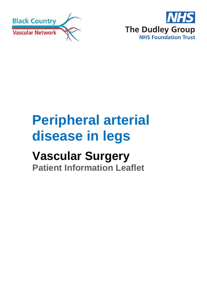



# **Peripheral arterial disease in legs**

## **Vascular Surgery**

**Patient Information Leaflet**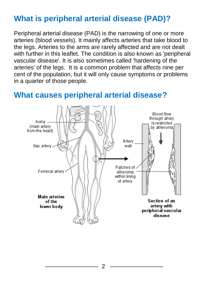## **What is peripheral arterial disease (PAD)?**

Peripheral arterial disease (PAD) is the narrowing of one or more arteries (blood vessels). It mainly affects arteries that take blood to the legs. Arteries to the arms are rarely affected and are not dealt with further in this leaflet. The condition is also known as 'peripheral vascular disease'. It is also sometimes called 'hardening of the arteries' of the legs. It is a common problem that affects nine per cent of the population, but it will only cause symptoms or problems in a quarter of those people.

#### Blood flow through arterv Aorta is restricted (main artery by atheroma from the heart) Artery lliac artery. wall Patches of 2 Femoral arterv atheroma within lining of arterv Main arteries Section of an of the artery with lower body peripheral vascular disease

### **What causes peripheral arterial disease?**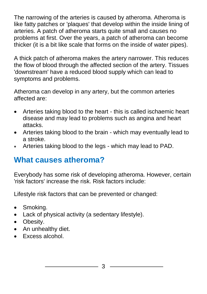The narrowing of the arteries is caused by atheroma. Atheroma is like fatty patches or 'plaques' that develop within the inside lining of arteries. A patch of atheroma starts quite small and causes no problems at first. Over the years, a patch of atheroma can become thicker (it is a bit like scale that forms on the inside of water pipes).

A thick patch of atheroma makes the artery narrower. This reduces the flow of blood through the affected section of the artery. Tissues 'downstream' have a reduced blood supply which can lead to symptoms and problems.

Atheroma can develop in any artery, but the common arteries affected are:

- Arteries taking blood to the heart this is called ischaemic heart disease and may lead to problems such as angina and heart attacks.
- Arteries taking blood to the brain which may eventually lead to a stroke.
- Arteries taking blood to the legs which may lead to PAD.

## **What causes atheroma?**

Everybody has some risk of developing atheroma. However, certain 'risk factors' increase the risk. Risk factors include:

Lifestyle risk factors that can be prevented or changed:

- Smoking.
- Lack of physical activity (a sedentary lifestyle).
- Obesity.
- An unhealthy diet.
- Excess alcohol.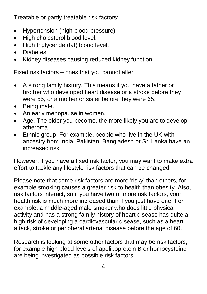Treatable or partly treatable risk factors:

- Hypertension (high blood pressure).
- High cholesterol blood level.
- High triglyceride (fat) blood level.
- Diabetes.
- Kidney diseases causing reduced kidney function.

Fixed risk factors – ones that you cannot alter:

- A strong family history. This means if you have a father or brother who developed heart disease or a stroke before they were 55, or a mother or sister before they were 65.
- Being male.
- An early menopause in women.
- Age. The older you become, the more likely you are to develop atheroma.
- Ethnic group. For example, people who live in the UK with ancestry from India, Pakistan, Bangladesh or Sri Lanka have an increased risk.

However, if you have a fixed risk factor, you may want to make extra effort to tackle any lifestyle risk factors that can be changed.

Please note that some risk factors are more 'risky' than others, for example smoking causes a greater risk to health than obesity. Also, risk factors interact, so if you have two or more risk factors, your health risk is much more increased than if you just have one. For example, a middle-aged male smoker who does little physical activity and has a strong family history of heart disease has quite a high risk of developing a cardiovascular disease, such as a heart attack, stroke or peripheral arterial disease before the age of 60.

Research is looking at some other factors that may be risk factors, for example high blood levels of apolipoprotein B or homocysteine are being investigated as possible risk factors.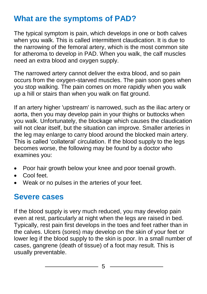## **What are the symptoms of PAD?**

The typical symptom is pain, which develops in one or both calves when you walk. This is called intermittent claudication. It is due to the narrowing of the femoral artery, which is the most common site for atheroma to develop in PAD. When you walk, the calf muscles need an extra blood and oxygen supply.

The narrowed artery cannot deliver the extra blood, and so pain occurs from the oxygen-starved muscles. The pain soon goes when you stop walking. The pain comes on more rapidly when you walk up a hill or stairs than when you walk on flat ground.

If an artery higher 'upstream' is narrowed, such as the iliac artery or aorta, then you may develop pain in your thighs or buttocks when you walk. Unfortunately, the blockage which causes the claudication will not clear itself, but the situation can improve. Smaller arteries in the leg may enlarge to carry blood around the blocked main artery. This is called 'collateral' circulation. If the blood supply to the legs becomes worse, the following may be found by a doctor who examines you:

- Poor hair growth below your knee and poor toenail growth.
- **•** Cool feet.
- Weak or no pulses in the arteries of your feet.

## **Severe cases**

If the blood supply is very much reduced, you may develop pain even at rest, particularly at night when the legs are raised in bed. Typically, rest pain first develops in the toes and feet rather than in the calves. Ulcers (sores) may develop on the skin of your feet or lower leg if the blood supply to the skin is poor. In a small number of cases, gangrene (death of tissue) of a foot may result. This is usually preventable.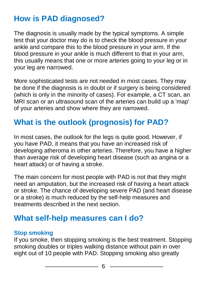## **How is PAD diagnosed?**

The diagnosis is usually made by the typical symptoms. A simple test that your doctor may do is to check the blood pressure in your ankle and compare this to the blood pressure in your arm. If the blood pressure in your ankle is much different to that in your arm, this usually means that one or more arteries going to your leg or in your leg are narrowed.

More sophisticated tests are not needed in most cases. They may be done if the diagnosis is in doubt or if surgery is being considered (which is only in the minority of cases). For example, a CT scan, an MRI scan or an ultrasound scan of the arteries can build up a 'map' of your arteries and show where they are narrowed.

## **What is the outlook (prognosis) for PAD?**

In most cases, the outlook for the legs is quite good. However, if you have PAD, it means that you have an increased risk of developing atheroma in other arteries. Therefore, you have a higher than average risk of developing heart disease (such as angina or a heart attack) or of having a stroke.

The main concern for most people with PAD is not that they might need an amputation, but the increased risk of having a heart attack or stroke. The chance of developing severe PAD (and heart disease or a stroke) is much reduced by the self-help measures and treatments described in the next section.

## **What self-help measures can I do?**

#### **Stop smoking**

If you smoke, then stopping smoking is the best treatment. Stopping smoking doubles or triples walking distance without pain in over eight out of 10 people with PAD. Stopping smoking also greatly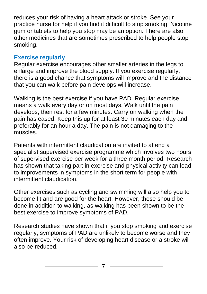reduces your risk of having a heart attack or stroke. See your practice nurse for help if you find it difficult to stop smoking. Nicotine gum or tablets to help you stop may be an option. There are also other medicines that are sometimes prescribed to help people stop smoking.

#### **Exercise regularly**

Regular exercise encourages other smaller arteries in the legs to enlarge and improve the blood supply. If you exercise regularly, there is a good chance that symptoms will improve and the distance that you can walk before pain develops will increase.

Walking is the best exercise if you have PAD. Regular exercise means a walk every day or on most days. Walk until the pain develops, then rest for a few minutes. Carry on walking when the pain has eased. Keep this up for at least 30 minutes each day and preferably for an hour a day. The pain is not damaging to the muscles.

Patients with intermittent claudication are invited to attend a specialist supervised exercise programme which involves two hours of supervised exercise per week for a three month period. Research has shown that taking part in exercise and physical activity can lead to improvements in symptoms in the short term for people with intermittent claudication.

Other exercises such as cycling and swimming will also help you to become fit and are good for the heart. However, these should be done in addition to walking, as walking has been shown to be the best exercise to improve symptoms of PAD.

Research studies have shown that if you stop smoking and exercise regularly, symptoms of PAD are unlikely to become worse and they often improve. Your risk of developing heart disease or a stroke will also be reduced.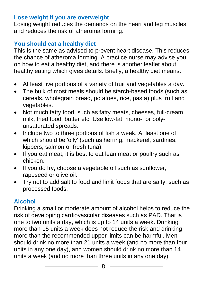#### **Lose weight if you are overweight**

Losing weight reduces the demands on the heart and leg muscles and reduces the risk of atheroma forming.

#### **You should eat a healthy diet**

This is the same as advised to prevent heart disease. This reduces the chance of atheroma forming. A practice nurse may advise you on how to eat a healthy diet, and there is another leaflet about healthy eating which gives details. Briefly, a healthy diet means:

- At least five portions of a variety of fruit and vegetables a day.
- The bulk of most meals should be starch-based foods (such as cereals, wholegrain bread, potatoes, rice, pasta) plus fruit and vegetables.
- Not much fatty food, such as fatty meats, cheeses, full-cream milk, fried food, butter etc. Use low-fat, mono-, or polyunsaturated spreads.
- Include two to three portions of fish a week. At least one of which should be 'oily' (such as herring, mackerel, sardines, kippers, salmon or fresh tuna).
- If you eat meat, it is best to eat lean meat or poultry such as chicken.
- If you do fry, choose a vegetable oil such as sunflower, rapeseed or olive oil.
- Try not to add salt to food and limit foods that are salty, such as processed foods.

#### **Alcohol**

Drinking a small or moderate amount of alcohol helps to reduce the risk of developing cardiovascular diseases such as PAD. That is one to two units a day, which is up to 14 units a week. Drinking more than 15 units a week does not reduce the risk and drinking more than the recommended upper limits can be harmful. Men should drink no more than 21 units a week (and no more than four units in any one day), and women should drink no more than 14 units a week (and no more than three units in any one day).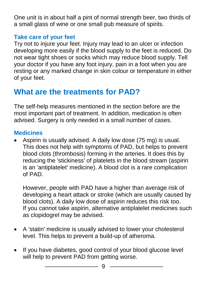One unit is in about half a pint of normal strength beer, two thirds of a small glass of wine or one small pub measure of spirits.

### **Take care of your feet**

Try not to injure your feet. Injury may lead to an ulcer or infection developing more easily if the blood supply to the feet is reduced. Do not wear tight shoes or socks which may reduce blood supply. Tell your doctor if you have any foot injury, pain in a foot when you are resting or any marked change in skin colour or temperature in either of your feet.

## **What are the treatments for PAD?**

The self-help measures mentioned in the section before are the most important part of treatment. In addition, medication is often advised. Surgery is only needed in a small number of cases.

#### **Medicines**

 Aspirin is usually advised. A daily low dose (75 mg) is usual. This does not help with symptoms of PAD, but helps to prevent blood clots (thrombosis) forming in the arteries. It does this by reducing the 'stickiness' of platelets in the blood stream (aspirin is an 'antiplatelet' medicine). A blood clot is a rare complication of PAD.

However, people with PAD have a higher than average risk of developing a heart attack or stroke (which are usually caused by blood clots). A daily low dose of aspirin reduces this risk too. If you cannot take aspirin, alternative antiplatelet medicines such as clopidogrel may be advised.

- A 'statin' medicine is usually advised to lower your cholesterol level. This helps to prevent a build-up of atheroma.
- If you have diabetes, good control of your blood glucose level will help to prevent PAD from getting worse.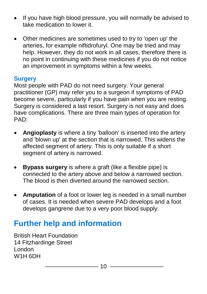- If you have high blood pressure, you will normally be advised to take medication to lower it.
- Other medicines are sometimes used to try to 'open up' the arteries, for example niftidrofuryl. One may be tried and may help. However, they do not work in all cases, therefore there is no point in continuing with these medicines if you do not notice an improvement in symptoms within a few weeks.

#### **Surgery**

Most people with PAD do not need surgery. Your general practitioner (GP) may refer you to a surgeon if symptoms of PAD become severe, particularly if you have pain when you are resting. Surgery is considered a last resort. Surgery is not easy and does have complications. There are three main types of operation for PAD:

- **Angioplasty** is where a tiny 'balloon' is inserted into the artery and 'blown up' at the section that is narrowed. This widens the affected segment of artery. This is only suitable if a short segment of artery is narrowed.
- **Bypass surgery** is where a graft (like a flexible pipe) is connected to the artery above and below a narrowed section. The blood is then diverted around the narrowed section.
- **Amputation** of a foot or lower leg is needed in a small number of cases. It is needed when severe PAD develops and a foot develops gangrene due to a very poor blood supply.

## **Further help and information**

British Heart Foundation 14 Fitzhardinge Street London W1H 6DH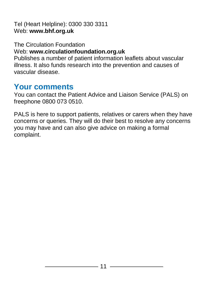Tel (Heart Helpline): 0300 330 3311 Web: **[www.bhf.org.uk](http://www.bhf.org.uk/)**

The Circulation Foundation Web: **[www.circulationfoundation.org.uk](http://www.circulationfoundation.org.uk/)** Publishes a number of patient information leaflets about vascular illness. It also funds research into the prevention and causes of vascular disease.

## **Your comments**

You can contact the Patient Advice and Liaison Service (PALS) on freephone 0800 073 0510.

PALS is here to support patients, relatives or carers when they have concerns or queries. They will do their best to resolve any concerns you may have and can also give advice on making a formal complaint.